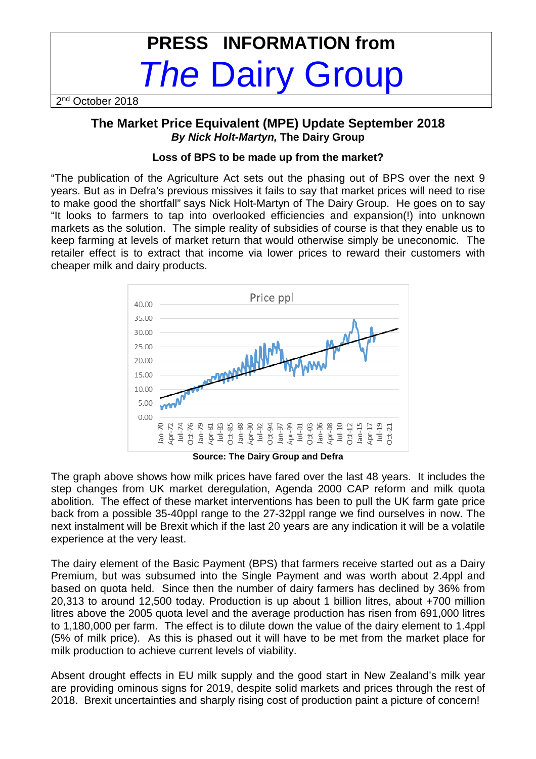# **PRESS INFORMATION from The Dairy Group**

2<sup>nd</sup> October 2018

# **The Market Price Equivalent (MPE) Update September 2018 By Nick Holt-Martyn, The Dairy Group**

# **Loss of BPS to be made up from the market?**

"The publication of the Agriculture Act sets out the phasing out of BPS over the next 9 years. But as in Defra's previous missives it fails to say that market prices will need to rise to make good the shortfall" says Nick Holt-Martyn of The Dairy Group. He goes on to say "It looks to farmers to tap into overlooked efficiencies and expansion(!) into unknown markets as the solution. The simple reality of subsidies of course is that they enable us to keep farming at levels of market return that would otherwise simply be uneconomic. The retailer effect is to extract that income via lower prices to reward their customers with cheaper milk and dairy products.



**Source: The Dairy Group and Defra** 

The graph above shows how milk prices have fared over the last 48 years. It includes the step changes from UK market deregulation, Agenda 2000 CAP reform and milk quota abolition. The effect of these market interventions has been to pull the UK farm gate price back from a possible 35-40ppl range to the 27-32ppl range we find ourselves in now. The next instalment will be Brexit which if the last 20 years are any indication it will be a volatile experience at the very least.

The dairy element of the Basic Payment (BPS) that farmers receive started out as a Dairy Premium, but was subsumed into the Single Payment and was worth about 2.4ppl and based on quota held. Since then the number of dairy farmers has declined by 36% from 20,313 to around 12,500 today. Production is up about 1 billion litres, about +700 million litres above the 2005 quota level and the average production has risen from 691,000 litres to 1,180,000 per farm. The effect is to dilute down the value of the dairy element to 1.4ppl (5% of milk price). As this is phased out it will have to be met from the market place for milk production to achieve current levels of viability.

Absent drought effects in EU milk supply and the good start in New Zealand's milk year are providing ominous signs for 2019, despite solid markets and prices through the rest of 2018. Brexit uncertainties and sharply rising cost of production paint a picture of concern!